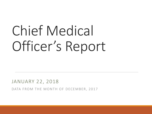# Chief Medical Officer's Report

JANUARY 22, 2018

DATA FROM THE MONTH OF DECEMBER, 2017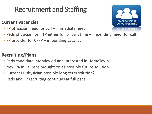# Recruitment and Staffing

#### **Current vacancies**

- FP physician need for LC4 immediate need
- Peds physician for HTP either full or part time impending need (for call)
- FP provider for CFFP impending vacancy

#### **Recruiting/Plans**

- Peds candidate interviewed and interested in HomeTown
- New PA in Laurens brought on as possible future solution
- Current LT physician possible long-term solution?
- Peds and FP recruiting continues at full pace

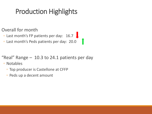# Production Highlights

Overall for month

◦ Last month's FP patients per day: 16.7

◦ Last month's Peds patients per day: 20.0

"Real" Range – 10.3 to 24.1 patients per day

◦ Notables

- Top producer is Castellone at CFFP
- Peds up a decent amount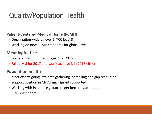# Quality/Population Health

#### **Patient-Centered Medical Home (PCMH)**

- Organization-wide at level 2, TCC level 3
- Working on new PCMH standards for global level 3

#### **Meaningful Use**

- Successfully Submitted Stage 2 for 2016
- Failed MU for 2017 and won't achieve it in 2018 either

#### **Population health**

- Most efforts going into data gathering, compiling and gap resolution
- Support position in McCormick (grant supported)
- Working with insurance groups to get better usable data
- CIMS dashboard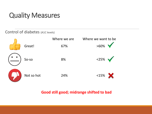#### Control of diabetes (A1C levels)



#### **Good still good; midrange shifted to bad**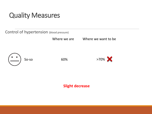Control of hypertension (blood pressure)

Where we are Where we want to be





**Slight decrease**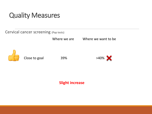Cervical cancer screening (Pap tests)

Where we are Where we want to be



Close to goal 39%



**Slight increase**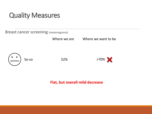Breast cancer screening (mammograms)

Where we are Where we want to be





**Flat, but overall mild decrease**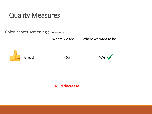Colon cancer screening (colonoscopies)

Where we are Where we want to be





**Mild decrease**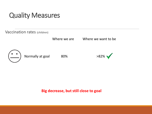Vaccination rates (children)

Where we are **Where we want to be** 



#### **Big decrease, but still close to goal**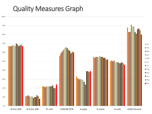### Quality Measures Graph

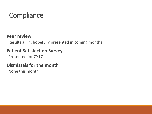# **Compliance**

#### **Peer review**

Results all in, hopefully presented in coming months

#### **Patient Satisfaction Survey**

Presented for CY17

#### **Dismissals for the month**

None this month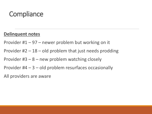### **Compliance**

#### **Delinquent notes**

Provider #1 – 97 – newer problem but working on it

Provider  $#2 - 18 -$  old problem that just needs prodding

Provider #3 – 8 – new problem watching closely

Provider #4 – 3 – old problem resurfaces occasionally

All providers are aware